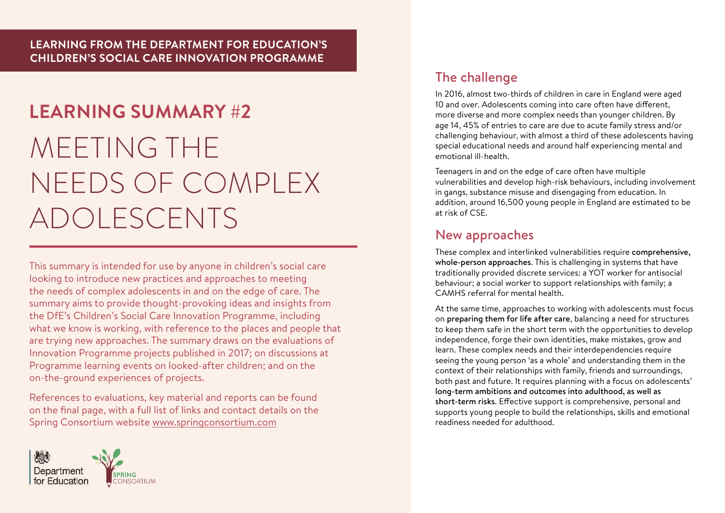# **LEARNING SUMMARY #2** MEETING THE NEEDS OF COMPLEX ADOLESCENTS

This summary is intended for use by anyone in children's social care looking to introduce new practices and approaches to meeting the needs of complex adolescents in and on the edge of care. The summary aims to provide thought-provoking ideas and insights from the DfE's Children's Social Care Innovation Programme, including what we know is working, with reference to the places and people that are trying new approaches. The summary draws on the evaluations of Innovation Programme projects published in 2017; on discussions at Programme learning events on looked-after children; and on the on-the-ground experiences of projects.

References to evaluations, key material and reports can be found on the final page, with a full list of links and contact details on the Spring Consortium website www.springconsortium.com



# The challenge

In 2016, almost two-thirds of children in care in England were aged 10 and over. Adolescents coming into care often have different, more diverse and more complex needs than younger children. By age 14, 45% of entries to care are due to acute family stress and/or challenging behaviour, with almost a third of these adolescents having special educational needs and around half experiencing mental and emotional ill-health.

Teenagers in and on the edge of care often have multiple vulnerabilities and develop high-risk behaviours, including involvement in gangs, substance misuse and disengaging from education. In addition, around 16,500 young people in England are estimated to be at risk of CSE.

## New approaches

These complex and interlinked vulnerabilities require comprehensive, whole-person approaches. This is challenging in systems that have traditionally provided discrete services: a YOT worker for antisocial behaviour; a social worker to support relationships with family; a CAMHS referral for mental health.

At the same time, approaches to working with adolescents must focus on preparing them for life after care, balancing a need for structures to keep them safe in the short term with the opportunities to develop independence, forge their own identities, make mistakes, grow and learn. These complex needs and their interdependencies require seeing the young person 'as a whole' and understanding them in the context of their relationships with family, friends and surroundings, both past and future. It requires planning with a focus on adolescents' long-term ambitions and outcomes into adulthood, as well as short-term risks. Effective support is comprehensive, personal and supports young people to build the relationships, skills and emotional readiness needed for adulthood.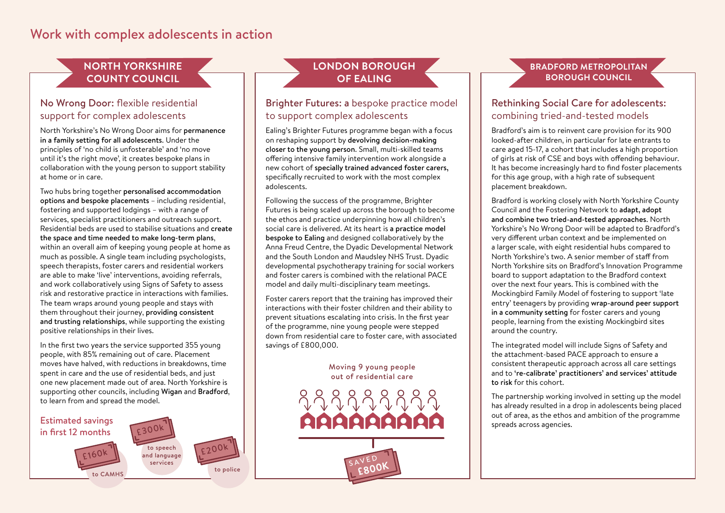## Work with complex adolescents in action

## **NORTH YORKSHIRE COUNTY COUNCIL**

### No Wrong Door: flexible residential support for complex adolescents

North Yorkshire's No Wrong Door aims for permanence in a family setting for all adolescents. Under the principles of 'no child is unfosterable' and 'no move until it's the right move', it creates bespoke plans in collaboration with the young person to support stability at home or in care.

Two hubs bring together personalised accommodation options and bespoke placements – including residential, fostering and supported lodgings – with a range of services, specialist practitioners and outreach support. Residential beds are used to stabilise situations and create the space and time needed to make long-term plans, within an overall aim of keeping young people at home as much as possible. A single team including psychologists, speech therapists, foster carers and residential workers are able to make 'live' interventions, avoiding referrals, and work collaboratively using Signs of Safety to assess risk and restorative practice in interactions with families. The team wraps around young people and stays with them throughout their journey, providing consistent and trusting relationships, while supporting the existing positive relationships in their lives.

In the first two years the service supported 355 young people, with 85% remaining out of care. Placement moves have halved, with reductions in breakdowns, time moves nave naived, with reductions in breakdowns, til<br>spent in care and the use of residential beds, and just<br>one new placement made out of area. North Yorkshir one new placement made out of area. North Yorkshire is supporting other councils, including Wigan and Bradford, to learn from and spread the model.



## **LONDON BOROUGH OF EALING**

#### Brighter Futures: a bespoke practice model to support complex adolescents

Ealing's Brighter Futures programme began with a focus on reshaping support by devolving decision-making closer to the young person. Small, multi-skilled teams offering intensive family intervention work alongside a new cohort of specially trained advanced foster carers, specifically recruited to work with the most complex adolescents.

Following the success of the programme, Brighter Futures is being scaled up across the borough to become the ethos and practice underpinning how all children's social care is delivered. At its heart is a practice model bespoke to Ealing and designed collaboratively by the Anna Freud Centre, the Dyadic Developmental Network and the South London and Maudsley NHS Trust. Dyadic developmental psychotherapy training for social workers and foster carers is combined with the relational PACE model and daily multi-disciplinary team meetings. **EET**

Foster carers report that the training has improved their<br>interactions with their fester shildren and their shilltute. interactions with their foster children and their ability to prevent situations escalating into crisis. In the first year of the programme, nine young people were stepped down from residential care to foster care, with associated savings of £800,000.

#### Moving 9 young people out of residential care



**£800K**

#### **BRADFORD METROPOLITAN BOROUGH COUNCIL**

#### Rethinking Social Care for adolescents: combining tried-and-tested models

Bradford's aim is to reinvent care provision for its 900 looked-after children, in particular for late entrants to care aged 15-17, a cohort that includes a high proportion of girls at risk of CSE and boys with offending behaviour. It has become increasingly hard to find foster placements for this age group, with a high rate of subsequent placement breakdown.

Bradford is working closely with North Yorkshire County Council and the Fostering Network to adapt, adopt and combine two tried-and-tested approaches. North Yorkshire's No Wrong Door will be adapted to Bradford's very different urban context and be implemented on a larger scale, with eight residential hubs compared to North Yorkshire's two. A senior member of staff from North Yorkshire sits on Bradford's Innovation Programme board to support adaptation to the Bradford context over the next four years. This is combined with the Mockingbird Family Model of fostering to support 'late entry' teenagers by providing wrap-around peer support in a community setting for foster carers and young people, learning from the existing Mockingbird sites around the country.

The integrated model will include Signs of Safety and the attachment-based PACE approach to ensure a consistent therapeutic approach across all care settings and to 're-calibrate' practitioners' and services' attitude to risk for this cohort.

The partnership working involved in setting up the model has already resulted in a drop in adolescents being placed out of area, as the ethos and ambition of the programme spreads across agencies.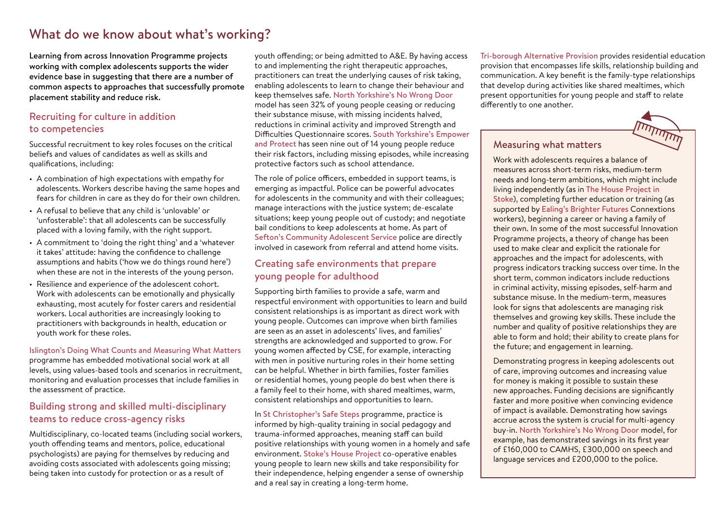# What do we know about what's working?

Learning from across Innovation Programme projects working with complex adolescents supports the wider evidence base in suggesting that there are a number of common aspects to approaches that successfully promote placement stability and reduce risk.

#### Recruiting for culture in addition to competencies

Successful recruitment to key roles focuses on the critical beliefs and values of candidates as well as skills and qualifications, including:

- A combination of high expectations with empathy for adolescents. Workers describe having the same hopes and fears for children in care as they do for their own children.
- A refusal to believe that any child is 'unlovable' or 'unfosterable': that all adolescents can be successfully placed with a loving family, with the right support.
- A commitment to 'doing the right thing' and a 'whatever it takes' attitude: having the confidence to challenge assumptions and habits ('how we do things round here') when these are not in the interests of the young person.
- Resilience and experience of the adolescent cohort. Work with adolescents can be emotionally and physically exhausting, most acutely for foster carers and residential workers. Local authorities are increasingly looking to practitioners with backgrounds in health, education or youth work for these roles.

### Islington's Doing What Counts and Measuring What Matters programme has embedded motivational social work at all

levels, using values-based tools and scenarios in recruitment, monitoring and evaluation processes that include families in the assessment of practice.

#### Building strong and skilled multi-disciplinary teams to reduce cross-agency risks

Multidisciplinary, co-located teams (including social workers, youth offending teams and mentors, police, educational psychologists) are paying for themselves by reducing and avoiding costs associated with adolescents going missing; being taken into custody for protection or as a result of

youth offending; or being admitted to A&E. By having access to and implementing the right therapeutic approaches, practitioners can treat the underlying causes of risk taking, enabling adolescents to learn to change their behaviour and keep themselves safe. North Yorkshire's No Wrong Door model has seen 32% of young people ceasing or reducing their substance misuse, with missing incidents halved, reductions in criminal activity and improved Strength and Difficulties Questionnaire scores. South Yorkshire's Empower and Protect has seen nine out of 14 young people reduce their risk factors, including missing episodes, while increasing protective factors such as school attendance.

The role of police officers, embedded in support teams, is emerging as impactful. Police can be powerful advocates for adolescents in the community and with their colleagues; manage interactions with the justice system; de-escalate situations; keep young people out of custody; and negotiate bail conditions to keep adolescents at home. As part of Sefton's Community Adolescent Service police are directly involved in casework from referral and attend home visits.

#### Creating safe environments that prepare young people for adulthood

Supporting birth families to provide a safe, warm and respectful environment with opportunities to learn and build consistent relationships is as important as direct work with young people. Outcomes can improve when birth families are seen as an asset in adolescents' lives, and families' strengths are acknowledged and supported to grow. For young women affected by CSE, for example, interacting with men in positive nurturing roles in their home setting can be helpful. Whether in birth families, foster families or residential homes, young people do best when there is a family feel to their home, with shared mealtimes, warm, consistent relationships and opportunities to learn.

In St Christopher's Safe Steps programme, practice is informed by high-quality training in social pedagogy and trauma-informed approaches, meaning staff can build positive relationships with young women in a homely and safe environment. Stoke's House Project co-operative enables young people to learn new skills and take responsibility for their independence, helping engender a sense of ownership and a real say in creating a long-term home.

Tri-borough Alternative Provision provides residential education provision that encompasses life skills, relationship building and communication. A key benefit is the family-type relationships that develop during activities like shared mealtimes, which present opportunities for young people and staff to relate differently to one another.



#### Measuring what matters

Work with adolescents requires a balance of measures across short-term risks, medium-term needs and long-term ambitions, which might include living independently (as in The House Project in Stoke), completing further education or training (as supported by Ealing's Brighter Futures Connextions workers), beginning a career or having a family of their own. In some of the most successful Innovation Programme projects, a theory of change has been used to make clear and explicit the rationale for approaches and the impact for adolescents, with progress indicators tracking success over time. In the short term, common indicators include reductions in criminal activity, missing episodes, self-harm and substance misuse. In the medium-term, measures look for signs that adolescents are managing risk themselves and growing key skills. These include the number and quality of positive relationships they are able to form and hold; their ability to create plans for the future; and engagement in learning.

Demonstrating progress in keeping adolescents out of care, improving outcomes and increasing value for money is making it possible to sustain these new approaches. Funding decisions are significantly faster and more positive when convincing evidence of impact is available. Demonstrating how savings accrue across the system is crucial for multi-agency buy-in. North Yorkshire's No Wrong Door model, for example, has demonstrated savings in its first year of £160,000 to CAMHS, £300,000 on speech and language services and £200,000 to the police.